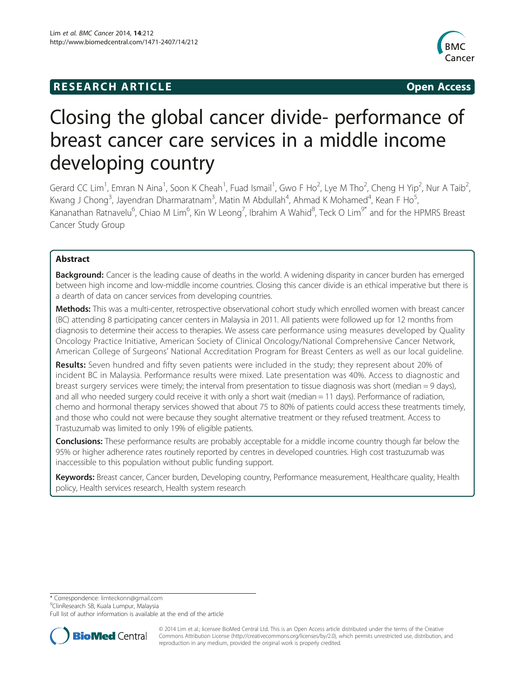## **RESEARCH ARTICLE Example 2014 12:30 The SEAR CHA RESEARCH ARTICLE**



# Closing the global cancer divide- performance of breast cancer care services in a middle income developing country

Gerard CC Lim<sup>1</sup>, Emran N Aina<sup>1</sup>, Soon K Cheah<sup>1</sup>, Fuad Ismail<sup>1</sup>, Gwo F Ho<sup>2</sup>, Lye M Tho<sup>2</sup>, Cheng H Yip<sup>2</sup>, Nur A Taib<sup>2</sup> , Kwang J Chong<sup>3</sup>, Jayendran Dharmaratnam<sup>3</sup>, Matin M Abdullah<sup>4</sup>, Ahmad K Mohamed<sup>4</sup>, Kean F Ho<sup>5</sup> , Kananathan Ratnavelu<sup>6</sup>, Chiao M Lim<sup>6</sup>, Kin W Leong<sup>7</sup>, Ibrahim A Wahid<sup>8</sup>, Teck O Lim<sup>9\*</sup> and for the HPMRS Breast Cancer Study Group

### Abstract

Background: Cancer is the leading cause of deaths in the world. A widening disparity in cancer burden has emerged between high income and low-middle income countries. Closing this cancer divide is an ethical imperative but there is a dearth of data on cancer services from developing countries.

Methods: This was a multi-center, retrospective observational cohort study which enrolled women with breast cancer (BC) attending 8 participating cancer centers in Malaysia in 2011. All patients were followed up for 12 months from diagnosis to determine their access to therapies. We assess care performance using measures developed by Quality Oncology Practice Initiative, American Society of Clinical Oncology/National Comprehensive Cancer Network, American College of Surgeons' National Accreditation Program for Breast Centers as well as our local guideline.

Results: Seven hundred and fifty seven patients were included in the study; they represent about 20% of incident BC in Malaysia. Performance results were mixed. Late presentation was 40%. Access to diagnostic and breast surgery services were timely; the interval from presentation to tissue diagnosis was short (median = 9 days), and all who needed surgery could receive it with only a short wait (median = 11 days). Performance of radiation, chemo and hormonal therapy services showed that about 75 to 80% of patients could access these treatments timely, and those who could not were because they sought alternative treatment or they refused treatment. Access to Trastuzumab was limited to only 19% of eligible patients.

Conclusions: These performance results are probably acceptable for a middle income country though far below the 95% or higher adherence rates routinely reported by centres in developed countries. High cost trastuzumab was inaccessible to this population without public funding support.

Keywords: Breast cancer, Cancer burden, Developing country, Performance measurement, Healthcare quality, Health policy, Health services research, Health system research

\* Correspondence: [limteckonn@gmail.com](mailto:limteckonn@gmail.com) <sup>9</sup>

<sup>9</sup>ClinResearch SB, Kuala Lumpur, Malaysia

Full list of author information is available at the end of the article



© 2014 Lim et al.; licensee BioMed Central Ltd. This is an Open Access article distributed under the terms of the Creative Commons Attribution License [\(http://creativecommons.org/licenses/by/2.0\)](http://creativecommons.org/licenses/by/2.0), which permits unrestricted use, distribution, and reproduction in any medium, provided the original work is properly credited.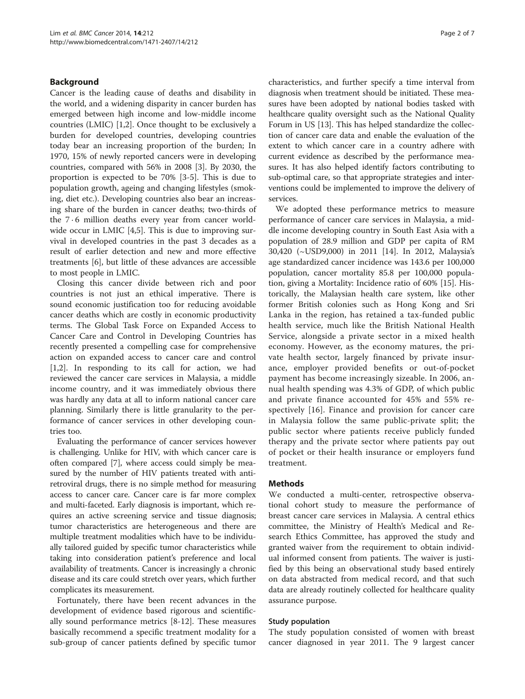#### Background

Cancer is the leading cause of deaths and disability in the world, and a widening disparity in cancer burden has emerged between high income and low-middle income countries (LMIC) [[1,2\]](#page-6-0). Once thought to be exclusively a burden for developed countries, developing countries today bear an increasing proportion of the burden; In 1970, 15% of newly reported cancers were in developing countries, compared with 56% in 2008 [[3](#page-6-0)]. By 2030, the proportion is expected to be 70% [[3-5](#page-6-0)]. This is due to population growth, ageing and changing lifestyles (smoking, diet etc.). Developing countries also bear an increasing share of the burden in cancer deaths; two-thirds of the  $7 \cdot 6$  million deaths every year from cancer world-wide occur in LMIC [[4,5\]](#page-6-0). This is due to improving survival in developed countries in the past 3 decades as a result of earlier detection and new and more effective treatments [\[6\]](#page-6-0), but little of these advances are accessible to most people in LMIC.

Closing this cancer divide between rich and poor countries is not just an ethical imperative. There is sound economic justification too for reducing avoidable cancer deaths which are costly in economic productivity terms. The Global Task Force on Expanded Access to Cancer Care and Control in Developing Countries has recently presented a compelling case for comprehensive action on expanded access to cancer care and control [[1,2\]](#page-6-0). In responding to its call for action, we had reviewed the cancer care services in Malaysia, a middle income country, and it was immediately obvious there was hardly any data at all to inform national cancer care planning. Similarly there is little granularity to the performance of cancer services in other developing countries too.

Evaluating the performance of cancer services however is challenging. Unlike for HIV, with which cancer care is often compared [[7](#page-6-0)], where access could simply be measured by the number of HIV patients treated with antiretroviral drugs, there is no simple method for measuring access to cancer care. Cancer care is far more complex and multi-faceted. Early diagnosis is important, which requires an active screening service and tissue diagnosis; tumor characteristics are heterogeneous and there are multiple treatment modalities which have to be individually tailored guided by specific tumor characteristics while taking into consideration patient's preference and local availability of treatments. Cancer is increasingly a chronic disease and its care could stretch over years, which further complicates its measurement.

Fortunately, there have been recent advances in the development of evidence based rigorous and scientifically sound performance metrics [[8-12\]](#page-6-0). These measures basically recommend a specific treatment modality for a sub-group of cancer patients defined by specific tumor

characteristics, and further specify a time interval from diagnosis when treatment should be initiated. These measures have been adopted by national bodies tasked with healthcare quality oversight such as the National Quality Forum in US [[13](#page-6-0)]. This has helped standardize the collection of cancer care data and enable the evaluation of the extent to which cancer care in a country adhere with current evidence as described by the performance measures. It has also helped identify factors contributing to sub-optimal care, so that appropriate strategies and interventions could be implemented to improve the delivery of services.

We adopted these performance metrics to measure performance of cancer care services in Malaysia, a middle income developing country in South East Asia with a population of 28.9 million and GDP per capita of RM 30,420 (~USD9,000) in 2011 [[14\]](#page-6-0). In 2012, Malaysia's age standardized cancer incidence was 143.6 per 100,000 population, cancer mortality 85.8 per 100,000 population, giving a Mortality: Incidence ratio of 60% [[15\]](#page-6-0). Historically, the Malaysian health care system, like other former British colonies such as Hong Kong and Sri Lanka in the region, has retained a tax-funded public health service, much like the British National Health Service, alongside a private sector in a mixed health economy. However, as the economy matures, the private health sector, largely financed by private insurance, employer provided benefits or out-of-pocket payment has become increasingly sizeable. In 2006, annual health spending was 4.3% of GDP, of which public and private finance accounted for 45% and 55% respectively [[16](#page-6-0)]. Finance and provision for cancer care in Malaysia follow the same public-private split; the public sector where patients receive publicly funded therapy and the private sector where patients pay out of pocket or their health insurance or employers fund treatment.

#### Methods

We conducted a multi-center, retrospective observational cohort study to measure the performance of breast cancer care services in Malaysia. A central ethics committee, the Ministry of Health's Medical and Research Ethics Committee, has approved the study and granted waiver from the requirement to obtain individual informed consent from patients. The waiver is justified by this being an observational study based entirely on data abstracted from medical record, and that such data are already routinely collected for healthcare quality assurance purpose.

#### Study population

The study population consisted of women with breast cancer diagnosed in year 2011. The 9 largest cancer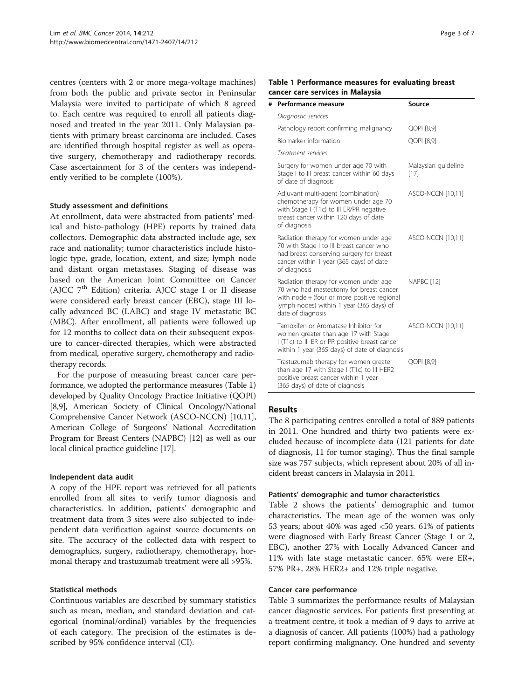centres (centers with 2 or more mega-voltage machines) from both the public and private sector in Peninsular Malaysia were invited to participate of which 8 agreed to. Each centre was required to enroll all patients diagnosed and treated in the year 2011. Only Malaysian patients with primary breast carcinoma are included. Cases are identified through hospital register as well as operative surgery, chemotherapy and radiotherapy records. Case ascertainment for 3 of the centers was independently verified to be complete (100%).

#### Study assessment and definitions

At enrollment, data were abstracted from patients' medical and histo-pathology (HPE) reports by trained data collectors. Demographic data abstracted include age, sex race and nationality; tumor characteristics include histologic type, grade, location, extent, and size; lymph node and distant organ metastases. Staging of disease was based on the American Joint Committee on Cancer (AJCC 7th Edition) criteria. AJCC stage I or II disease were considered early breast cancer (EBC), stage III locally advanced BC (LABC) and stage IV metastatic BC (MBC). After enrollment, all patients were followed up for 12 months to collect data on their subsequent exposure to cancer-directed therapies, which were abstracted from medical, operative surgery, chemotherapy and radiotherapy records.

For the purpose of measuring breast cancer care performance, we adopted the performance measures (Table 1) developed by Quality Oncology Practice Initiative (QOPI) [[8,9](#page-6-0)], American Society of Clinical Oncology/National Comprehensive Cancer Network (ASCO-NCCN) [\[10,11](#page-6-0)], American College of Surgeons' National Accreditation Program for Breast Centers (NAPBC) [[12](#page-6-0)] as well as our local clinical practice guideline [[17](#page-6-0)].

#### Independent data audit

A copy of the HPE report was retrieved for all patients enrolled from all sites to verify tumor diagnosis and characteristics. In addition, patients' demographic and treatment data from 3 sites were also subjected to independent data verification against source documents on site. The accuracy of the collected data with respect to demographics, surgery, radiotherapy, chemotherapy, hormonal therapy and trastuzumab treatment were all >95%.

#### Statistical methods

Continuous variables are described by summary statistics such as mean, median, and standard deviation and categorical (nominal/ordinal) variables by the frequencies of each category. The precision of the estimates is described by 95% confidence interval (CI).

#### Table 1 Performance measures for evaluating breast cancer care services in Malaysia

| # | Performance measure                                                                                                                                                                              | Source                      |
|---|--------------------------------------------------------------------------------------------------------------------------------------------------------------------------------------------------|-----------------------------|
|   | Diagnostic services                                                                                                                                                                              |                             |
|   | Pathology report confirming malignancy                                                                                                                                                           | QOPI [8,9]                  |
|   | Biomarker information                                                                                                                                                                            | QOPI [8,9]                  |
|   | Treatment services                                                                                                                                                                               |                             |
|   | Surgery for women under age 70 with<br>Stage I to III breast cancer within 60 days<br>of date of diagnosis                                                                                       | Malaysian guideline<br>[17] |
|   | Adjuvant multi-agent (combination)<br>chemotherapy for women under age 70<br>with Stage I (T1c) to III ER/PR negative<br>breast cancer within 120 days of date<br>of diagnosis                   | ASCO-NCCN [10,11]           |
|   | Radiation therapy for women under age<br>70 with Stage I to III breast cancer who<br>had breast conserving surgery for breast<br>cancer within 1 year (365 days) of date<br>of diagnosis         | ASCO-NCCN [10,11]           |
|   | Radiation therapy for women under age<br>70 who had mastectomy for breast cancer<br>with node + (four or more positive regional<br>lymph nodes) within 1 year (365 days) of<br>date of diagnosis | NAPBC <sub>[12]</sub>       |
|   | Tamoxifen or Aromatase Inhibitor for<br>women greater than age 17 with Stage<br>I (T1c) to III ER or PR positive breast cancer<br>within 1 year (365 days) of date of diagnosis                  | <b>ASCO-NCCN [10,11]</b>    |
|   | Trastuzumab therapy for women greater<br>than age 17 with Stage I (T1c) to III HER2<br>positive breast cancer within 1 year<br>(365 days) of date of diagnosis                                   | QOPI [8,9]                  |

#### Results

The 8 participating centres enrolled a total of 889 patients in 2011. One hundred and thirty two patients were excluded because of incomplete data (121 patients for date of diagnosis, 11 for tumor staging). Thus the final sample size was 757 subjects, which represent about 20% of all incident breast cancers in Malaysia in 2011.

#### Patients' demographic and tumor characteristics

Table [2](#page-3-0) shows the patients' demographic and tumor characteristics. The mean age of the women was only 53 years; about 40% was aged <50 years. 61% of patients were diagnosed with Early Breast Cancer (Stage 1 or 2, EBC), another 27% with Locally Advanced Cancer and 11% with late stage metastatic cancer. 65% were ER+, 57% PR+, 28% HER2+ and 12% triple negative.

#### Cancer care performance

Table [3](#page-3-0) summarizes the performance results of Malaysian cancer diagnostic services. For patients first presenting at a treatment centre, it took a median of 9 days to arrive at a diagnosis of cancer. All patients (100%) had a pathology report confirming malignancy. One hundred and seventy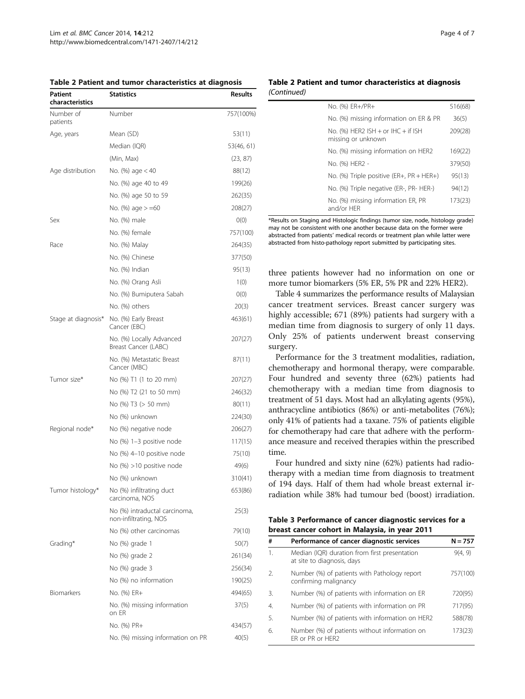<span id="page-3-0"></span>

| Patient<br>characteristics | <b>Statistics</b>                                      | <b>Results</b> |
|----------------------------|--------------------------------------------------------|----------------|
| Number of<br>patients      | Number                                                 | 757(100%)      |
| Age, years                 | Mean (SD)                                              | 53(11)         |
|                            | Median (IQR)                                           | 53(46, 61)     |
|                            | (Min, Max)                                             | (23, 87)       |
| Age distribution           | No. (%) age < 40                                       | 88(12)         |
|                            | No. (%) age 40 to 49                                   | 199(26)        |
|                            | No. (%) age 50 to 59                                   | 262(35)        |
|                            | No. (%) age > =60                                      | 208(27)        |
| Sex                        | No. (%) male                                           | O(0)           |
|                            | No. (%) female                                         | 757(100)       |
| Race                       | No. (%) Malay                                          | 264(35)        |
|                            | No. (%) Chinese                                        | 377(50)        |
|                            | No. (%) Indian                                         | 95(13)         |
|                            | No. (%) Orang Asli                                     | 1(0)           |
|                            | No. (%) Bumiputera Sabah                               | O(0)           |
|                            | No. (%) others                                         | 20(3)          |
| Stage at diagnosis*        | No. (%) Early Breast<br>Cancer (EBC)                   | 463(61)        |
|                            | No. (%) Locally Advanced<br>Breast Cancer (LABC)       | 207(27)        |
|                            | No. (%) Metastatic Breast<br>Cancer (MBC)              | 87(11)         |
| Tumor size*                | No (%) T1 (1 to 20 mm)                                 | 207(27)        |
|                            | No (%) T2 (21 to 50 mm)                                | 246(32)        |
|                            | No (%) T3 (> 50 mm)                                    | 80(11)         |
|                            | No (%) unknown                                         | 224(30)        |
| Regional node*             | No (%) negative node                                   | 206(27)        |
|                            | No (%) 1–3 positive node                               | 117(15)        |
|                            | No (%) 4–10 positive node                              | 75(10)         |
|                            | No (%) >10 positive node                               | 49(6)          |
|                            | No (%) unknown                                         | 310(41)        |
| Tumor histology*           | No (%) infiltrating duct<br>carcinoma, NOS             | 653(86)        |
|                            | No (%) intraductal carcinoma,<br>non-infiltrating, NOS | 25(3)          |
|                            | No (%) other carcinomas                                | 79(10)         |
| Grading*                   | No (%) grade 1                                         | 50(7)          |
|                            | No (%) grade 2                                         | 261(34)        |
|                            | No (%) grade 3                                         | 256(34)        |
|                            | No (%) no information                                  | 190(25)        |
| Biomarkers                 | No. (%) ER+                                            | 494(65)        |
|                            | No. (%) missing information<br>on ER                   | 37(5)          |
|                            | No. (%) PR+                                            | 434(57)        |
|                            | No. (%) missing information on PR                      | 40(5)          |

#### Table 2 Patient and tumor characteristics at diagnosis (Continued)

| No. (%) ER+/PR+                                              | 516(68) |
|--------------------------------------------------------------|---------|
| No. (%) missing information on ER & PR                       | 36(5)   |
| No. (%) HER2 $ISH + or$ IHC $+$ if ISH<br>missing or unknown | 209(28) |
| No. (%) missing information on HER2                          | 169(22) |
| No. (%) HER2 -                                               | 379(50) |
| No. $(\%)$ Triple positive (ER+, PR + HER+)                  | 95(13)  |
| No. (%) Triple negative (ER-, PR- HER-)                      | 94(12)  |
| No. (%) missing information ER, PR<br>and/or HER             | 173(23) |

\*Results on Staging and Histologic findings (tumor size, node, histology grade) may not be consistent with one another because data on the former were abstracted from patients' medical records or treatment plan while latter were abstracted from histo-pathology report submitted by participating sites.

three patients however had no information on one or more tumor biomarkers (5% ER, 5% PR and 22% HER2).

Table [4](#page-4-0) summarizes the performance results of Malaysian cancer treatment services. Breast cancer surgery was highly accessible; 671 (89%) patients had surgery with a median time from diagnosis to surgery of only 11 days. Only 25% of patients underwent breast conserving surgery.

Performance for the 3 treatment modalities, radiation, chemotherapy and hormonal therapy, were comparable. Four hundred and seventy three (62%) patients had chemotherapy with a median time from diagnosis to treatment of 51 days. Most had an alkylating agents (95%), anthracycline antibiotics (86%) or anti-metabolites (76%); only 41% of patients had a taxane. 75% of patients eligible for chemotherapy had care that adhere with the performance measure and received therapies within the prescribed time.

Four hundred and sixty nine (62%) patients had radiotherapy with a median time from diagnosis to treatment of 194 days. Half of them had whole breast external irradiation while 38% had tumour bed (boost) irradiation.

Table 3 Performance of cancer diagnostic services for a breast cancer cohort in Malaysia, in year 2011

| #                | Performance of cancer diagnostic services                                   | $N = 757$ |
|------------------|-----------------------------------------------------------------------------|-----------|
| $\mathbf{1}$ .   | Median (IQR) duration from first presentation<br>at site to diagnosis, days | 9(4, 9)   |
| 2.               | Number (%) of patients with Pathology report<br>confirming malignancy       | 757(100)  |
| 3.               | Number (%) of patients with information on ER                               | 720(95)   |
| $\overline{4}$ . | Number (%) of patients with information on PR                               | 717(95)   |
| .5.              | Number (%) of patients with information on HER2                             | 588(78)   |
| 6.               | Number (%) of patients without information on<br>FR or PR or HFR2           | 173(23)   |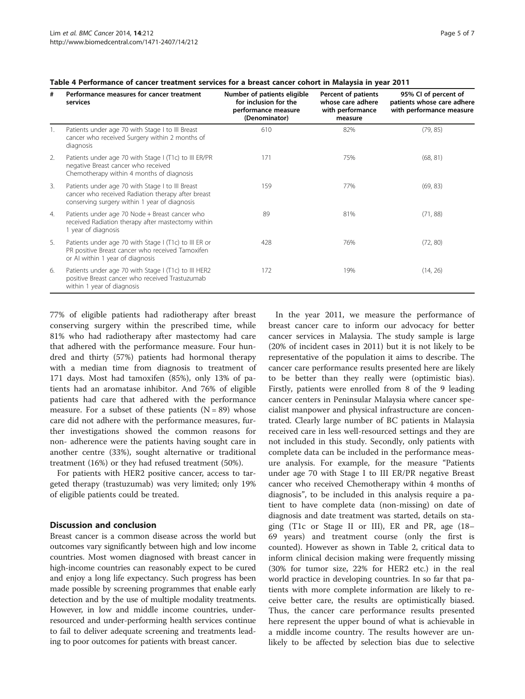| #  | Performance measures for cancer treatment<br>services                                                                                                   | Number of patients eligible<br>for inclusion for the<br>performance measure<br>(Denominator) | Percent of patients<br>whose care adhere<br>with performance<br>measure | 95% CI of percent of<br>patients whose care adhere<br>with performance measure |
|----|---------------------------------------------------------------------------------------------------------------------------------------------------------|----------------------------------------------------------------------------------------------|-------------------------------------------------------------------------|--------------------------------------------------------------------------------|
| 1. | Patients under age 70 with Stage I to III Breast<br>cancer who received Surgery within 2 months of<br>diagnosis                                         | 610                                                                                          | 82%                                                                     | (79, 85)                                                                       |
| 2. | Patients under age 70 with Stage I (T1c) to III ER/PR<br>negative Breast cancer who received<br>Chemotherapy within 4 months of diagnosis               | 171                                                                                          | 75%                                                                     | (68, 81)                                                                       |
| 3. | Patients under age 70 with Stage I to III Breast<br>cancer who received Radiation therapy after breast<br>conserving surgery within 1 year of diagnosis | 159                                                                                          | 77%                                                                     | (69, 83)                                                                       |
| 4. | Patients under age 70 Node + Breast cancer who<br>received Radiation therapy after mastectomy within<br>1 year of diagnosis                             | 89                                                                                           | 81%                                                                     | (71, 88)                                                                       |
| 5. | Patients under age 70 with Stage I (T1c) to III ER or<br>PR positive Breast cancer who received Tamoxifen<br>or AI within 1 year of diagnosis           | 428                                                                                          | 76%                                                                     | (72, 80)                                                                       |
| 6. | Patients under age 70 with Stage I (T1c) to III HER2<br>positive Breast cancer who received Trastuzumab<br>within 1 year of diagnosis                   | 172                                                                                          | 19%                                                                     | (14, 26)                                                                       |

#### <span id="page-4-0"></span>Table 4 Performance of cancer treatment services for a breast cancer cohort in Malaysia in year 2011

77% of eligible patients had radiotherapy after breast conserving surgery within the prescribed time, while 81% who had radiotherapy after mastectomy had care that adhered with the performance measure. Four hundred and thirty (57%) patients had hormonal therapy with a median time from diagnosis to treatment of 171 days. Most had tamoxifen (85%), only 13% of patients had an aromatase inhibitor. And 76% of eligible patients had care that adhered with the performance measure. For a subset of these patients  $(N = 89)$  whose care did not adhere with the performance measures, further investigations showed the common reasons for non- adherence were the patients having sought care in another centre (33%), sought alternative or traditional treatment (16%) or they had refused treatment (50%).

For patients with HER2 positive cancer, access to targeted therapy (trastuzumab) was very limited; only 19% of eligible patients could be treated.

#### Discussion and conclusion

Breast cancer is a common disease across the world but outcomes vary significantly between high and low income countries. Most women diagnosed with breast cancer in high-income countries can reasonably expect to be cured and enjoy a long life expectancy. Such progress has been made possible by screening programmes that enable early detection and by the use of multiple modality treatments. However, in low and middle income countries, underresourced and under-performing health services continue to fail to deliver adequate screening and treatments leading to poor outcomes for patients with breast cancer.

In the year 2011, we measure the performance of breast cancer care to inform our advocacy for better cancer services in Malaysia. The study sample is large (20% of incident cases in 2011) but it is not likely to be representative of the population it aims to describe. The cancer care performance results presented here are likely to be better than they really were (optimistic bias). Firstly, patients were enrolled from 8 of the 9 leading cancer centers in Peninsular Malaysia where cancer specialist manpower and physical infrastructure are concentrated. Clearly large number of BC patients in Malaysia received care in less well-resourced settings and they are not included in this study. Secondly, only patients with complete data can be included in the performance measure analysis. For example, for the measure "Patients under age 70 with Stage I to III ER/PR negative Breast cancer who received Chemotherapy within 4 months of diagnosis", to be included in this analysis require a patient to have complete data (non-missing) on date of diagnosis and date treatment was started, details on staging (T1c or Stage II or III), ER and PR, age (18– 69 years) and treatment course (only the first is counted). However as shown in Table [2,](#page-3-0) critical data to inform clinical decision making were frequently missing (30% for tumor size, 22% for HER2 etc.) in the real world practice in developing countries. In so far that patients with more complete information are likely to receive better care, the results are optimistically biased. Thus, the cancer care performance results presented here represent the upper bound of what is achievable in a middle income country. The results however are unlikely to be affected by selection bias due to selective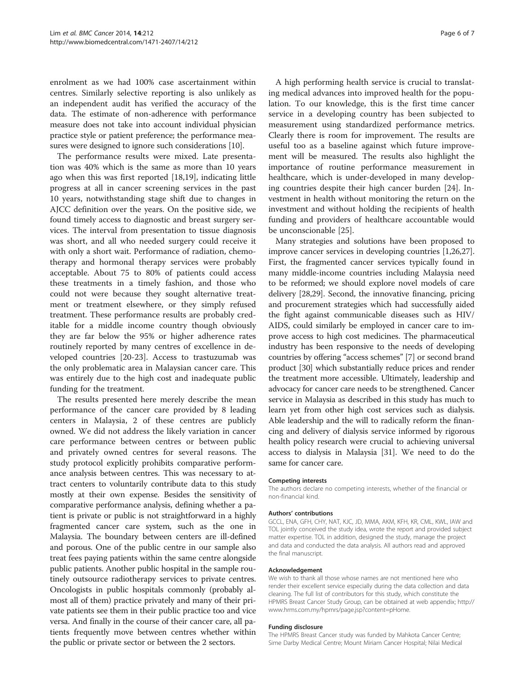enrolment as we had 100% case ascertainment within centres. Similarly selective reporting is also unlikely as an independent audit has verified the accuracy of the data. The estimate of non-adherence with performance measure does not take into account individual physician practice style or patient preference; the performance measures were designed to ignore such considerations [\[10](#page-6-0)].

The performance results were mixed. Late presentation was 40% which is the same as more than 10 years ago when this was first reported [[18,19\]](#page-6-0), indicating little progress at all in cancer screening services in the past 10 years, notwithstanding stage shift due to changes in AJCC definition over the years. On the positive side, we found timely access to diagnostic and breast surgery services. The interval from presentation to tissue diagnosis was short, and all who needed surgery could receive it with only a short wait. Performance of radiation, chemotherapy and hormonal therapy services were probably acceptable. About 75 to 80% of patients could access these treatments in a timely fashion, and those who could not were because they sought alternative treatment or treatment elsewhere, or they simply refused treatment. These performance results are probably creditable for a middle income country though obviously they are far below the 95% or higher adherence rates routinely reported by many centres of excellence in developed countries [\[20](#page-6-0)-[23\]](#page-6-0). Access to trastuzumab was the only problematic area in Malaysian cancer care. This was entirely due to the high cost and inadequate public funding for the treatment.

The results presented here merely describe the mean performance of the cancer care provided by 8 leading centers in Malaysia, 2 of these centres are publicly owned. We did not address the likely variation in cancer care performance between centres or between public and privately owned centres for several reasons. The study protocol explicitly prohibits comparative performance analysis between centres. This was necessary to attract centers to voluntarily contribute data to this study mostly at their own expense. Besides the sensitivity of comparative performance analysis, defining whether a patient is private or public is not straightforward in a highly fragmented cancer care system, such as the one in Malaysia. The boundary between centers are ill-defined and porous. One of the public centre in our sample also treat fees paying patients within the same centre alongside public patients. Another public hospital in the sample routinely outsource radiotherapy services to private centres. Oncologists in public hospitals commonly (probably almost all of them) practice privately and many of their private patients see them in their public practice too and vice versa. And finally in the course of their cancer care, all patients frequently move between centres whether within the public or private sector or between the 2 sectors.

A high performing health service is crucial to translating medical advances into improved health for the population. To our knowledge, this is the first time cancer service in a developing country has been subjected to measurement using standardized performance metrics. Clearly there is room for improvement. The results are useful too as a baseline against which future improvement will be measured. The results also highlight the importance of routine performance measurement in healthcare, which is under-developed in many developing countries despite their high cancer burden [\[24](#page-6-0)]. Investment in health without monitoring the return on the investment and without holding the recipients of health funding and providers of healthcare accountable would be unconscionable [[25\]](#page-6-0).

Many strategies and solutions have been proposed to improve cancer services in developing countries [\[1,26,27](#page-6-0)]. First, the fragmented cancer services typically found in many middle-income countries including Malaysia need to be reformed; we should explore novel models of care delivery [\[28,29\]](#page-6-0). Second, the innovative financing, pricing and procurement strategies which had successfully aided the fight against communicable diseases such as HIV/ AIDS, could similarly be employed in cancer care to improve access to high cost medicines. The pharmaceutical industry has been responsive to the needs of developing countries by offering "access schemes" [\[7\]](#page-6-0) or second brand product [\[30](#page-6-0)] which substantially reduce prices and render the treatment more accessible. Ultimately, leadership and advocacy for cancer care needs to be strengthened. Cancer service in Malaysia as described in this study has much to learn yet from other high cost services such as dialysis. Able leadership and the will to radically reform the financing and delivery of dialysis service informed by rigorous health policy research were crucial to achieving universal access to dialysis in Malaysia [[31](#page-6-0)]. We need to do the same for cancer care.

#### Competing interests

The authors declare no competing interests, whether of the financial or non-financial kind.

#### Authors' contributions

GCCL, ENA, GFH, CHY, NAT, KJC, JD, MMA, AKM, KFH, KR, CML, KWL, IAW and TOL jointly conceived the study idea, wrote the report and provided subject matter expertise. TOL in addition, designed the study, manage the project and data and conducted the data analysis. All authors read and approved the final manuscript.

#### Acknowledgement

We wish to thank all those whose names are not mentioned here who render their excellent service especially during the data collection and data cleaning. The full list of contributors for this study, which constitute the HPMRS Breast Cancer Study Group, can be obtained at web appendix; [http://](http://www.hrms.com.my/hpmrs/page.jsp?content=pHome) [www.hrms.com.my/hpmrs/page.jsp?content=pHome](http://www.hrms.com.my/hpmrs/page.jsp?content=pHome).

#### Funding disclosure

The HPMRS Breast Cancer study was funded by Mahkota Cancer Centre; Sime Darby Medical Centre; Mount Miriam Cancer Hospital; Nilai Medical